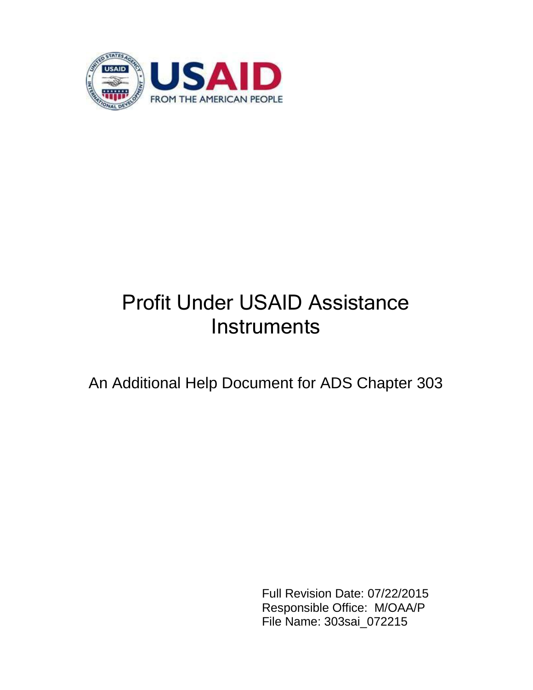

# Profit Under USAID Assistance **Instruments**

An Additional Help Document for ADS Chapter 303

Full Revision Date: 07/22/2015 Responsible Office: M/OAA/P File Name: 303sai\_072215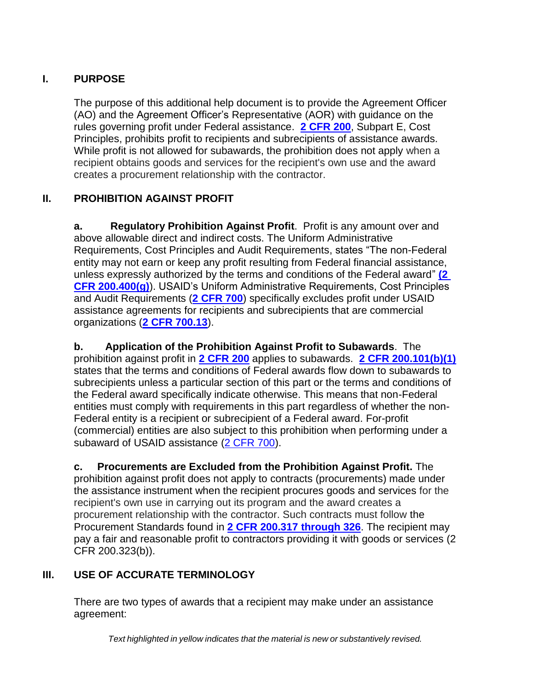## **I. PURPOSE**

The purpose of this additional help document is to provide the Agreement Officer (AO) and the Agreement Officer's Representative (AOR) with guidance on the rules governing profit under Federal assistance. **[2 CFR 200](http://edocket.access.gpo.gov/cfr_2006/aprqtr/pdf/22cfr226.81.pdf)**, Subpart E, Cost Principles, prohibits profit to recipients and subrecipients of assistance awards. While profit is not allowed for subawards, the prohibition does not apply when a recipient obtains goods and services for the recipient's own use and the award creates a procurement relationship with the contractor.

## **II. PROHIBITION AGAINST PROFIT**

**a. Regulatory Prohibition Against Profit**. Profit is any amount over and above allowable direct and indirect costs. The Uniform Administrative Requirements, Cost Principles and Audit Requirements, states "The non-Federal entity may not earn or keep any profit resulting from Federal financial assistance, unless expressly authorized by the terms and conditions of the Federal award" **[\(2](http://edocket.access.gpo.gov/cfr_2006/aprqtr/pdf/22cfr226.81.pdf)  [CFR 200.400\(g\)](http://edocket.access.gpo.gov/cfr_2006/aprqtr/pdf/22cfr226.81.pdf)**). USAID's Uniform Administrative Requirements, Cost Principles and Audit Requirements (**[2 CFR 700](http://www.ecfr.gov/cgi-bin/text-idx?SID=18fce4045d211e74d460016792650587&node=20141219y1.358)**) specifically excludes profit under USAID assistance agreements for recipients and subrecipients that are commercial organizations (**[2 CFR 700.13](http://www.ecfr.gov/cgi-bin/text-idx?SID=18fce4045d211e74d460016792650587&node=20141219y1.358)**).

**b. Application of the Prohibition Against Profit to Subawards**. The prohibition against profit in **[2 CFR 200](http://edocket.access.gpo.gov/cfr_2006/aprqtr/pdf/22cfr226.81.pdf)** applies to subawards. **[2 CFR 200.101\(b\)\(1\)](http://edocket.access.gpo.gov/cfr_2006/aprqtr/pdf/22cfr226.81.pdf)** states that the terms and conditions of Federal awards flow down to subawards to subrecipients unless a particular section of this part or the terms and conditions of the Federal award specifically indicate otherwise. This means that non-Federal entities must comply with requirements in this part regardless of whether the non-Federal entity is a recipient or subrecipient of a Federal award. For-profit (commercial) entities are also subject to this prohibition when performing under a subaward of USAID assistance [\(2 CFR 700\)](http://www.ecfr.gov/cgi-bin/text-idx?SID=18fce4045d211e74d460016792650587&node=20141219y1.358).

**c. Procurements are Excluded from the Prohibition Against Profit.** The prohibition against profit does not apply to contracts (procurements) made under the assistance instrument when the recipient procures goods and services for the recipient's own use in carrying out its program and the award creates a procurement relationship with the contractor. Such contracts must follow the Procurement Standards found in **[2 CFR 200.317 through 326](http://edocket.access.gpo.gov/cfr_2006/aprqtr/pdf/22cfr226.81.pdf)**. The recipient may pay a fair and reasonable profit to contractors providing it with goods or services (2 CFR 200.323(b)).

# **III. USE OF ACCURATE TERMINOLOGY**

There are two types of awards that a recipient may make under an assistance agreement: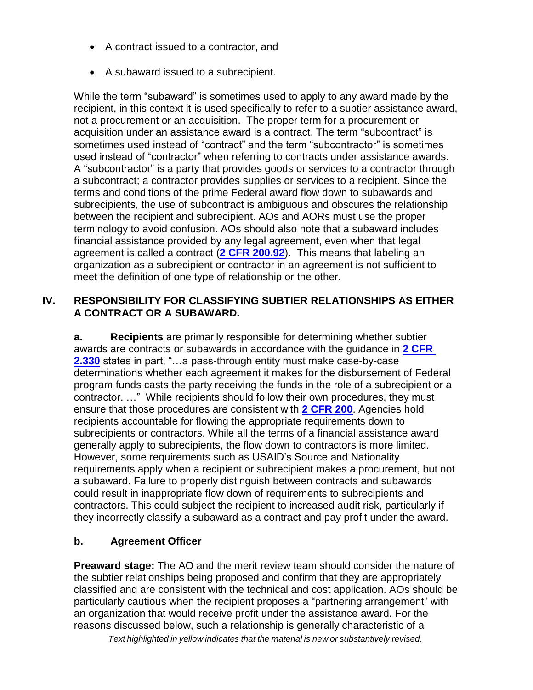- A contract issued to a contractor, and
- A subaward issued to a subrecipient.

While the term "subaward" is sometimes used to apply to any award made by the recipient, in this context it is used specifically to refer to a subtier assistance award, not a procurement or an acquisition. The proper term for a procurement or acquisition under an assistance award is a contract. The term "subcontract" is sometimes used instead of "contract" and the term "subcontractor" is sometimes used instead of "contractor" when referring to contracts under assistance awards. A "subcontractor" is a party that provides goods or services to a contractor through a subcontract; a contractor provides supplies or services to a recipient. Since the terms and conditions of the prime Federal award flow down to subawards and subrecipients, the use of subcontract is ambiguous and obscures the relationship between the recipient and subrecipient. AOs and AORs must use the proper terminology to avoid confusion. AOs should also note that a subaward includes financial assistance provided by any legal agreement, even when that legal agreement is called a contract (**[2 CFR 200.92](http://edocket.access.gpo.gov/cfr_2006/aprqtr/pdf/22cfr226.81.pdf)**). This means that labeling an organization as a subrecipient or contractor in an agreement is not sufficient to meet the definition of one type of relationship or the other.

#### **IV. RESPONSIBILITY FOR CLASSIFYING SUBTIER RELATIONSHIPS AS EITHER A CONTRACT OR A SUBAWARD.**

**a. Recipients** are primarily responsible for determining whether subtier awards are contracts or subawards in accordance with the guidance in **[2 CFR](http://edocket.access.gpo.gov/cfr_2006/aprqtr/pdf/22cfr226.81.pdf)  [2.330](http://edocket.access.gpo.gov/cfr_2006/aprqtr/pdf/22cfr226.81.pdf)** states in part, "…a pass-through entity must make case-by-case determinations whether each agreement it makes for the disbursement of Federal program funds casts the party receiving the funds in the role of a subrecipient or a contractor. …" While recipients should follow their own procedures, they must ensure that those procedures are consistent with **[2 CFR 200](http://edocket.access.gpo.gov/cfr_2006/aprqtr/pdf/22cfr226.81.pdf)**. Agencies hold recipients accountable for flowing the appropriate requirements down to subrecipients or contractors. While all the terms of a financial assistance award generally apply to subrecipients, the flow down to contractors is more limited. However, some requirements such as USAID's Source and Nationality requirements apply when a recipient or subrecipient makes a procurement, but not a subaward. Failure to properly distinguish between contracts and subawards could result in inappropriate flow down of requirements to subrecipients and contractors. This could subject the recipient to increased audit risk, particularly if they incorrectly classify a subaward as a contract and pay profit under the award.

## **b. Agreement Officer**

**Preaward stage:** The AO and the merit review team should consider the nature of the subtier relationships being proposed and confirm that they are appropriately classified and are consistent with the technical and cost application. AOs should be particularly cautious when the recipient proposes a "partnering arrangement" with an organization that would receive profit under the assistance award. For the reasons discussed below, such a relationship is generally characteristic of a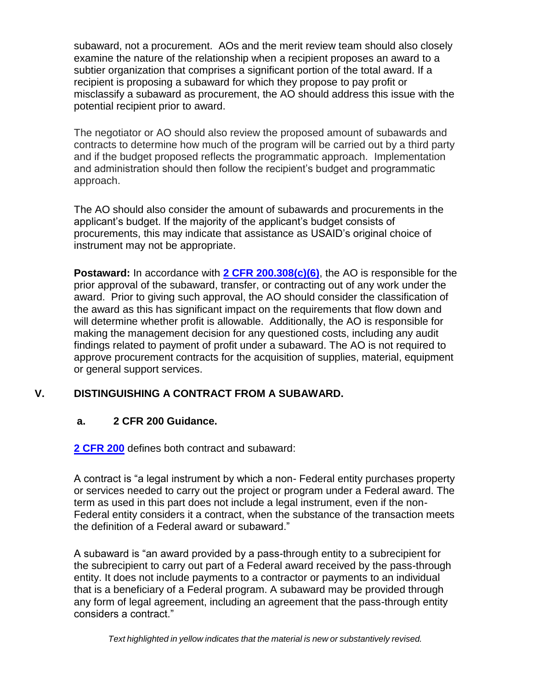subaward, not a procurement. AOs and the merit review team should also closely examine the nature of the relationship when a recipient proposes an award to a subtier organization that comprises a significant portion of the total award. If a recipient is proposing a subaward for which they propose to pay profit or misclassify a subaward as procurement, the AO should address this issue with the potential recipient prior to award.

The negotiator or AO should also review the proposed amount of subawards and contracts to determine how much of the program will be carried out by a third party and if the budget proposed reflects the programmatic approach. Implementation and administration should then follow the recipient's budget and programmatic approach.

The AO should also consider the amount of subawards and procurements in the applicant's budget. If the majority of the applicant's budget consists of procurements, this may indicate that assistance as USAID's original choice of instrument may not be appropriate.

**Postaward:** In accordance with **[2 CFR 200.308\(c\)\(6\)](http://www.ecfr.gov/cgi-bin/text-idx?tpl=/ecfrbrowse/Title02/2cfr200_main_02.tpl)**, the AO is responsible for the prior approval of the subaward, transfer, or contracting out of any work under the award. Prior to giving such approval, the AO should consider the classification of the award as this has significant impact on the requirements that flow down and will determine whether profit is allowable. Additionally, the AO is responsible for making the management decision for any questioned costs, including any audit findings related to payment of profit under a subaward. The AO is not required to approve procurement contracts for the acquisition of supplies, material, equipment or general support services.

## **V. DISTINGUISHING A CONTRACT FROM A SUBAWARD.**

#### **a. 2 CFR 200 Guidance.**

**[2 CFR 200](http://www.ecfr.gov/cgi-bin/text-idx?tpl=/ecfrbrowse/Title02/2cfr200_main_02.tpl)** defines both contract and subaward:

A contract is "a legal instrument by which a non- Federal entity purchases property or services needed to carry out the project or program under a Federal award. The term as used in this part does not include a legal instrument, even if the non-Federal entity considers it a contract, when the substance of the transaction meets the definition of a Federal award or subaward."

A subaward is "an award provided by a pass-through entity to a subrecipient for the subrecipient to carry out part of a Federal award received by the pass-through entity. It does not include payments to a contractor or payments to an individual that is a beneficiary of a Federal program. A subaward may be provided through any form of legal agreement, including an agreement that the pass-through entity considers a contract."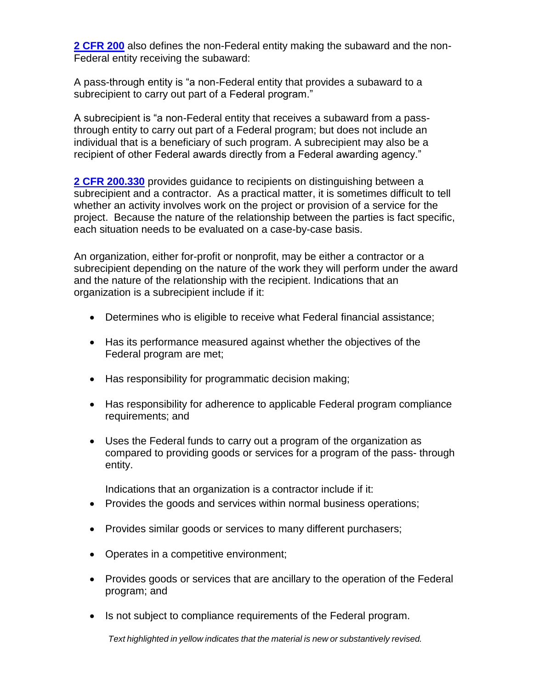**[2 CFR 200](http://www.ecfr.gov/cgi-bin/text-idx?tpl=/ecfrbrowse/Title02/2cfr200_main_02.tpl)** also defines the non-Federal entity making the subaward and the non-Federal entity receiving the subaward:

A pass-through entity is "a non-Federal entity that provides a subaward to a subrecipient to carry out part of a Federal program."

A subrecipient is "a non-Federal entity that receives a subaward from a passthrough entity to carry out part of a Federal program; but does not include an individual that is a beneficiary of such program. A subrecipient may also be a recipient of other Federal awards directly from a Federal awarding agency."

**[2 CFR 200.330](http://www.ecfr.gov/cgi-bin/text-idx?tpl=/ecfrbrowse/Title02/2cfr200_main_02.tpl)** provides guidance to recipients on distinguishing between a subrecipient and a contractor. As a practical matter, it is sometimes difficult to tell whether an activity involves work on the project or provision of a service for the project. Because the nature of the relationship between the parties is fact specific, each situation needs to be evaluated on a case-by-case basis.

An organization, either for-profit or nonprofit, may be either a contractor or a subrecipient depending on the nature of the work they will perform under the award and the nature of the relationship with the recipient. Indications that an organization is a subrecipient include if it:

- Determines who is eligible to receive what Federal financial assistance;
- Has its performance measured against whether the objectives of the Federal program are met;
- Has responsibility for programmatic decision making;
- Has responsibility for adherence to applicable Federal program compliance requirements; and
- Uses the Federal funds to carry out a program of the organization as compared to providing goods or services for a program of the pass- through entity.

Indications that an organization is a contractor include if it:

- Provides the goods and services within normal business operations;
- Provides similar goods or services to many different purchasers;
- Operates in a competitive environment;
- Provides goods or services that are ancillary to the operation of the Federal program; and
- Is not subject to compliance requirements of the Federal program.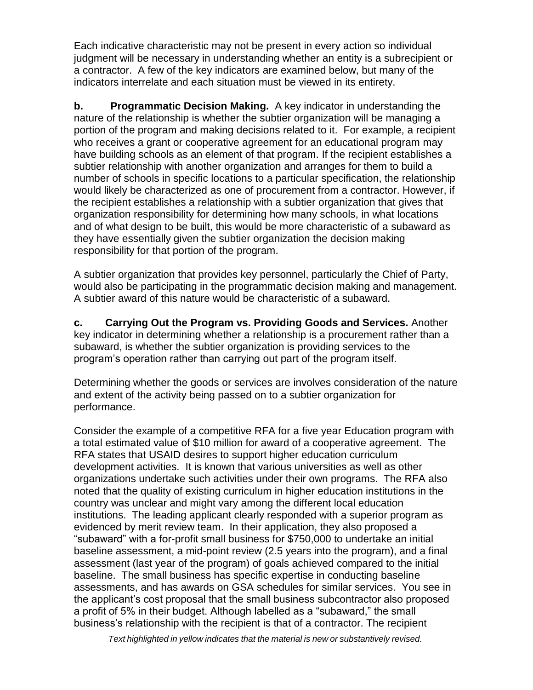Each indicative characteristic may not be present in every action so individual judgment will be necessary in understanding whether an entity is a subrecipient or a contractor. A few of the key indicators are examined below, but many of the indicators interrelate and each situation must be viewed in its entirety.

**b. Programmatic Decision Making.** A key indicator in understanding the nature of the relationship is whether the subtier organization will be managing a portion of the program and making decisions related to it. For example, a recipient who receives a grant or cooperative agreement for an educational program may have building schools as an element of that program. If the recipient establishes a subtier relationship with another organization and arranges for them to build a number of schools in specific locations to a particular specification, the relationship would likely be characterized as one of procurement from a contractor. However, if the recipient establishes a relationship with a subtier organization that gives that organization responsibility for determining how many schools, in what locations and of what design to be built, this would be more characteristic of a subaward as they have essentially given the subtier organization the decision making responsibility for that portion of the program.

A subtier organization that provides key personnel, particularly the Chief of Party, would also be participating in the programmatic decision making and management. A subtier award of this nature would be characteristic of a subaward.

**c. Carrying Out the Program vs. Providing Goods and Services.** Another key indicator in determining whether a relationship is a procurement rather than a subaward, is whether the subtier organization is providing services to the program's operation rather than carrying out part of the program itself.

Determining whether the goods or services are involves consideration of the nature and extent of the activity being passed on to a subtier organization for performance.

Consider the example of a competitive RFA for a five year Education program with a total estimated value of \$10 million for award of a cooperative agreement. The RFA states that USAID desires to support higher education curriculum development activities. It is known that various universities as well as other organizations undertake such activities under their own programs. The RFA also noted that the quality of existing curriculum in higher education institutions in the country was unclear and might vary among the different local education institutions. The leading applicant clearly responded with a superior program as evidenced by merit review team. In their application, they also proposed a "subaward" with a for-profit small business for \$750,000 to undertake an initial baseline assessment, a mid-point review (2.5 years into the program), and a final assessment (last year of the program) of goals achieved compared to the initial baseline. The small business has specific expertise in conducting baseline assessments, and has awards on GSA schedules for similar services. You see in the applicant's cost proposal that the small business subcontractor also proposed a profit of 5% in their budget. Although labelled as a "subaward," the small business's relationship with the recipient is that of a contractor. The recipient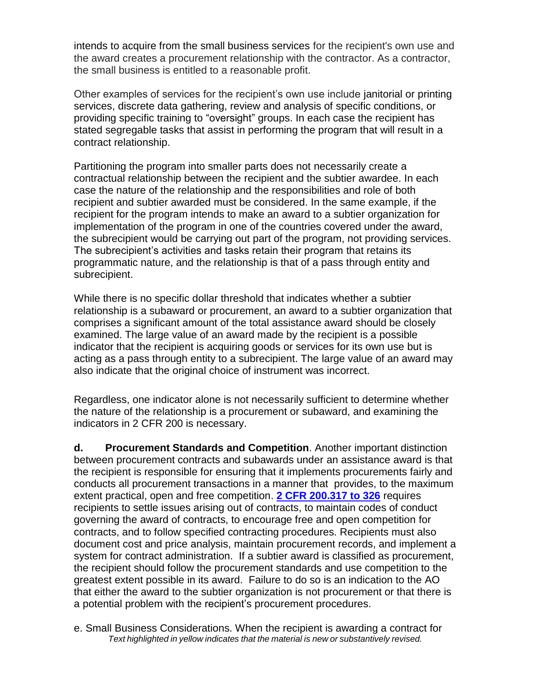intends to acquire from the small business services for the recipient's own use and the award creates a procurement relationship with the contractor. As a contractor, the small business is entitled to a reasonable profit.

Other examples of services for the recipient's own use include janitorial or printing services, discrete data gathering, review and analysis of specific conditions, or providing specific training to "oversight" groups. In each case the recipient has stated segregable tasks that assist in performing the program that will result in a contract relationship.

Partitioning the program into smaller parts does not necessarily create a contractual relationship between the recipient and the subtier awardee. In each case the nature of the relationship and the responsibilities and role of both recipient and subtier awarded must be considered. In the same example, if the recipient for the program intends to make an award to a subtier organization for implementation of the program in one of the countries covered under the award, the subrecipient would be carrying out part of the program, not providing services. The subrecipient's activities and tasks retain their program that retains its programmatic nature, and the relationship is that of a pass through entity and subrecipient.

While there is no specific dollar threshold that indicates whether a subtier relationship is a subaward or procurement, an award to a subtier organization that comprises a significant amount of the total assistance award should be closely examined. The large value of an award made by the recipient is a possible indicator that the recipient is acquiring goods or services for its own use but is acting as a pass through entity to a subrecipient. The large value of an award may also indicate that the original choice of instrument was incorrect.

Regardless, one indicator alone is not necessarily sufficient to determine whether the nature of the relationship is a procurement or subaward, and examining the indicators in 2 CFR 200 is necessary.

**d. Procurement Standards and Competition**. Another important distinction between procurement contracts and subawards under an assistance award is that the recipient is responsible for ensuring that it implements procurements fairly and conducts all procurement transactions in a manner that provides, to the maximum extent practical, open and free competition. **[2 CFR 200.317 to 326](http://www.ecfr.gov/cgi-bin/text-idx?tpl=/ecfrbrowse/Title02/2cfr200_main_02.tpl)** requires recipients to settle issues arising out of contracts, to maintain codes of conduct governing the award of contracts, to encourage free and open competition for contracts, and to follow specified contracting procedures. Recipients must also document cost and price analysis, maintain procurement records, and implement a system for contract administration. If a subtier award is classified as procurement, the recipient should follow the procurement standards and use competition to the greatest extent possible in its award. Failure to do so is an indication to the AO that either the award to the subtier organization is not procurement or that there is a potential problem with the recipient's procurement procedures.

*Text highlighted in yellow indicates that the material is new or substantively revised.* e. Small Business Considerations. When the recipient is awarding a contract for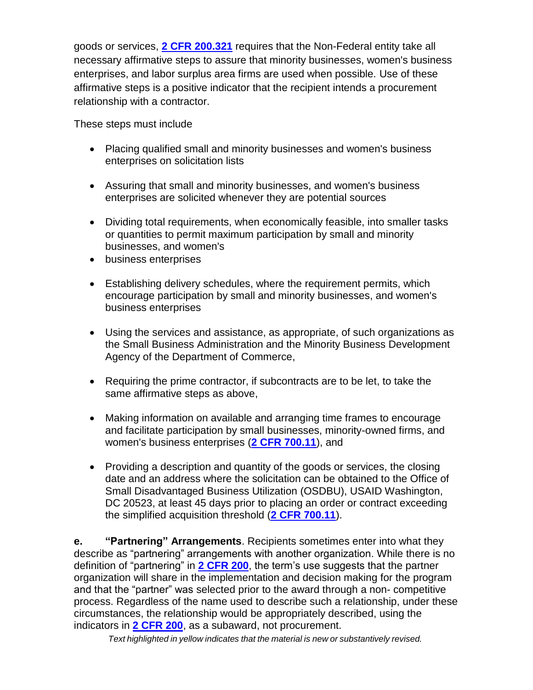goods or services, **[2 CFR 200.321](http://www.ecfr.gov/cgi-bin/text-idx?tpl=/ecfrbrowse/Title02/2cfr200_main_02.tpl)** requires that the Non-Federal entity take all necessary affirmative steps to assure that minority businesses, women's business enterprises, and labor surplus area firms are used when possible. Use of these affirmative steps is a positive indicator that the recipient intends a procurement relationship with a contractor.

These steps must include

- Placing qualified small and minority businesses and women's business enterprises on solicitation lists
- Assuring that small and minority businesses, and women's business enterprises are solicited whenever they are potential sources
- Dividing total requirements, when economically feasible, into smaller tasks or quantities to permit maximum participation by small and minority businesses, and women's
- business enterprises
- Establishing delivery schedules, where the requirement permits, which encourage participation by small and minority businesses, and women's business enterprises
- Using the services and assistance, as appropriate, of such organizations as the Small Business Administration and the Minority Business Development Agency of the Department of Commerce,
- Requiring the prime contractor, if subcontracts are to be let, to take the same affirmative steps as above,
- Making information on available and arranging time frames to encourage and facilitate participation by small businesses, minority-owned firms, and women's business enterprises (**[2 CFR 700.11](http://www.ecfr.gov/cgi-bin/text-idx?SID=18fce4045d211e74d460016792650587&node=20141219y1.358)**), and
- Providing a description and quantity of the goods or services, the closing date and an address where the solicitation can be obtained to the Office of Small Disadvantaged Business Utilization (OSDBU), USAID Washington, DC 20523, at least 45 days prior to placing an order or contract exceeding the simplified acquisition threshold (**[2 CFR 700.11](http://www.ecfr.gov/cgi-bin/text-idx?SID=18fce4045d211e74d460016792650587&node=20141219y1.358)**).

**e. "Partnering" Arrangements**. Recipients sometimes enter into what they describe as "partnering" arrangements with another organization. While there is no definition of "partnering" in **[2 CFR 200](http://www.ecfr.gov/cgi-bin/text-idx?tpl=/ecfrbrowse/Title02/2cfr200_main_02.tpl)**, the term's use suggests that the partner organization will share in the implementation and decision making for the program and that the "partner" was selected prior to the award through a non- competitive process. Regardless of the name used to describe such a relationship, under these circumstances, the relationship would be appropriately described, using the indicators in **[2 CFR 200](http://www.ecfr.gov/cgi-bin/text-idx?tpl=/ecfrbrowse/Title02/2cfr200_main_02.tpl)**, as a subaward, not procurement.